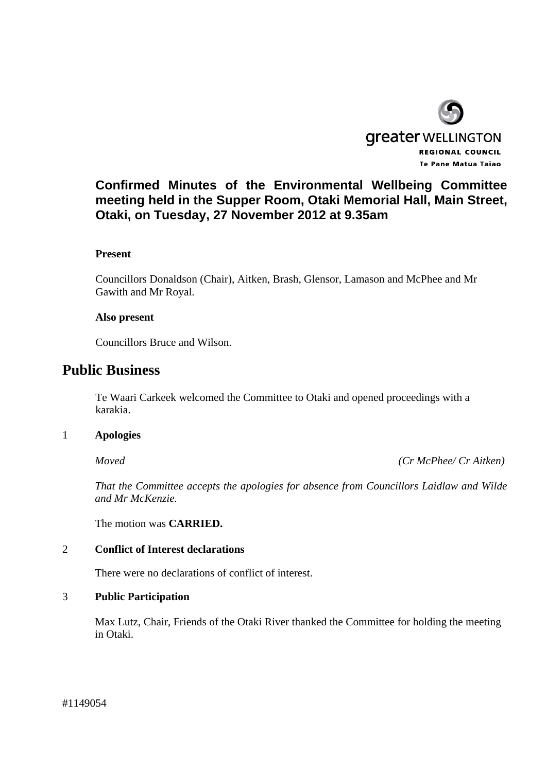

# **Confirmed Minutes of the Environmental Wellbeing Committee meeting held in the Supper Room, Otaki Memorial Hall, Main Street, Otaki, on Tuesday, 27 November 2012 at 9.35am**

## **Present**

Councillors Donaldson (Chair), Aitken, Brash, Glensor, Lamason and McPhee and Mr Gawith and Mr Royal.

## **Also present**

Councillors Bruce and Wilson.

# **Public Business**

Te Waari Carkeek welcomed the Committee to Otaki and opened proceedings with a karakia.

## 1 **Apologies**

 *Moved (Cr McPhee/ Cr Aitken)* 

*That the Committee accepts the apologies for absence from Councillors Laidlaw and Wilde and Mr McKenzie.* 

The motion was **CARRIED.** 

## 2 **Conflict of Interest declarations**

There were no declarations of conflict of interest.

## 3 **Public Participation**

Max Lutz, Chair, Friends of the Otaki River thanked the Committee for holding the meeting in Otaki.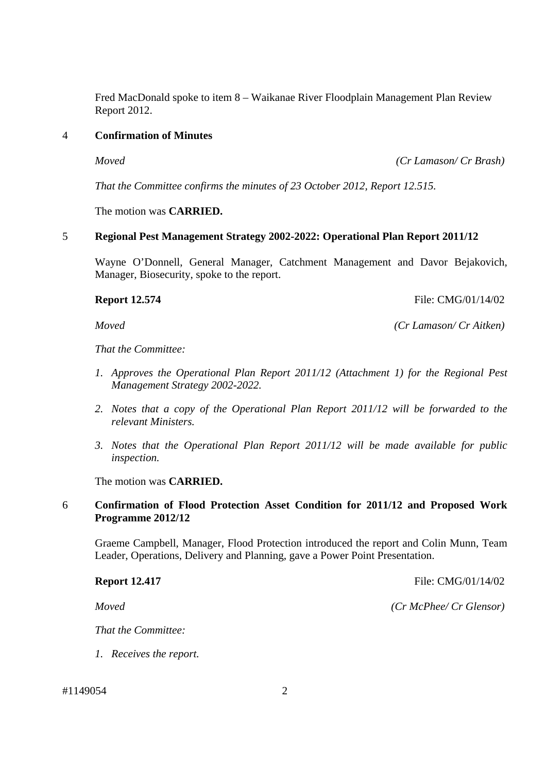Fred MacDonald spoke to item 8 – Waikanae River Floodplain Management Plan Review Report 2012.

## 4 **Confirmation of Minutes**

*Moved (Cr Lamason/ Cr Brash)* 

 *That the Committee confirms the minutes of 23 October 2012, Report 12.515.* 

The motion was **CARRIED.** 

## 5 **Regional Pest Management Strategy 2002-2022: Operational Plan Report 2011/12**

Wayne O'Donnell, General Manager, Catchment Management and Davor Bejakovich, Manager, Biosecurity, spoke to the report.

**Report 12.574 File:** CMG/01/14/02

*Moved (Cr Lamason/ Cr Aitken)* 

*That the Committee:* 

- *1. Approves the Operational Plan Report 2011/12 (Attachment 1) for the Regional Pest Management Strategy 2002-2022.*
- *2. Notes that a copy of the Operational Plan Report 2011/12 will be forwarded to the relevant Ministers.*
- *3. Notes that the Operational Plan Report 2011/12 will be made available for public inspection.*

The motion was **CARRIED.**

## 6 **Confirmation of Flood Protection Asset Condition for 2011/12 and Proposed Work Programme 2012/12**

 Graeme Campbell, Manager, Flood Protection introduced the report and Colin Munn, Team Leader, Operations, Delivery and Planning, gave a Power Point Presentation.

**Report 12.417 File: CMG/01/14/02** 

*Moved (Cr McPhee/ Cr Glensor)* 

*That the Committee:* 

*1. Receives the report.* 

#1149054 2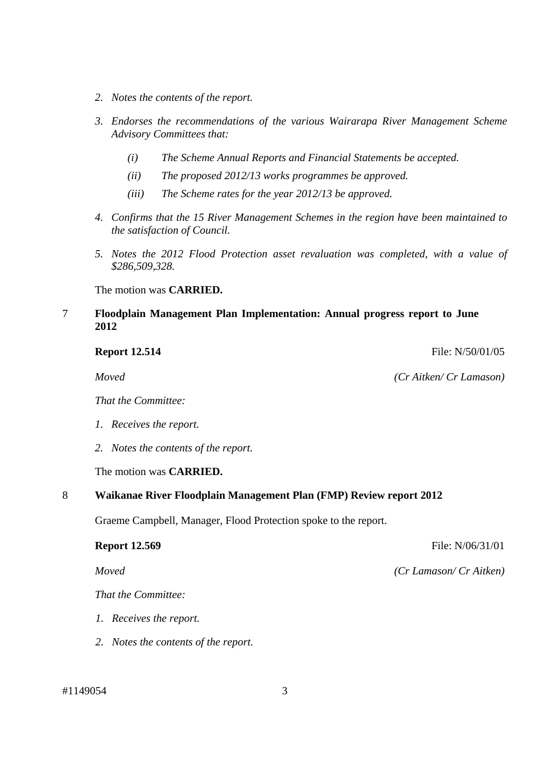- *2. Notes the contents of the report.*
- *3. Endorses the recommendations of the various Wairarapa River Management Scheme Advisory Committees that:* 
	- *(i) The Scheme Annual Reports and Financial Statements be accepted.*
	- *(ii) The proposed 2012/13 works programmes be approved.*
	- *(iii) The Scheme rates for the year 2012/13 be approved.*
- *4. Confirms that the 15 River Management Schemes in the region have been maintained to the satisfaction of Council.*
- *5. Notes the 2012 Flood Protection asset revaluation was completed, with a value of \$286,509,328.*

The motion was **CARRIED.**

## 7 **Floodplain Management Plan Implementation: Annual progress report to June 2012**

*Moved (Cr Aitken/ Cr Lamason)* 

*That the Committee:* 

- *1. Receives the report.*
- *2. Notes the contents of the report.*

The motion was **CARRIED.**

## 8 **Waikanae River Floodplain Management Plan (FMP) Review report 2012**

Graeme Campbell, Manager, Flood Protection spoke to the report.

*That the Committee:* 

- *1. Receives the report.*
- *2. Notes the contents of the report.*

**Report 12.569** File: N/06/31/01

*Moved (Cr Lamason/ Cr Aitken)* 

**Report 12.514 File:** N/50/01/05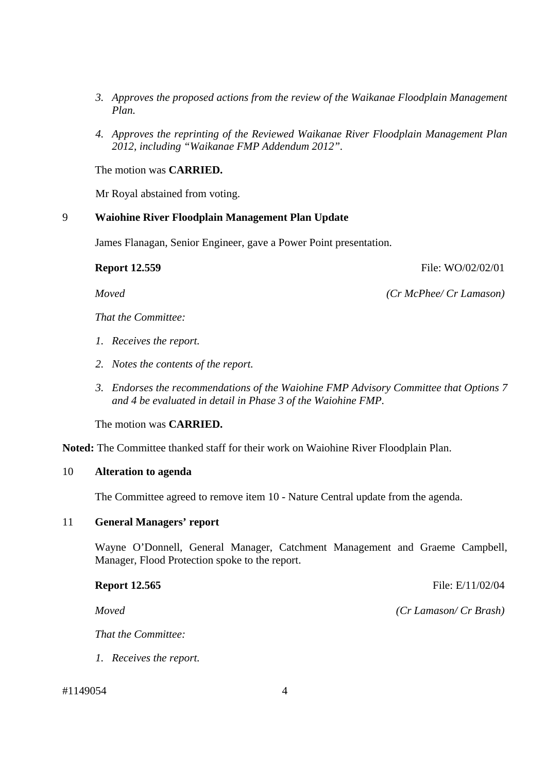- *3. Approves the proposed actions from the review of the Waikanae Floodplain Management Plan.*
- *4. Approves the reprinting of the Reviewed Waikanae River Floodplain Management Plan 2012, including "Waikanae FMP Addendum 2012".*

The motion was **CARRIED.** 

Mr Royal abstained from voting.

## 9 **Waiohine River Floodplain Management Plan Update**

James Flanagan, Senior Engineer, gave a Power Point presentation.

## **Report 12.559 File: WO/02/02/01**

*Moved (Cr McPhee/ Cr Lamason)* 

*That the Committee:* 

- *1. Receives the report.*
- *2. Notes the contents of the report.*
- *3. Endorses the recommendations of the Waiohine FMP Advisory Committee that Options 7 and 4 be evaluated in detail in Phase 3 of the Waiohine FMP.*

The motion was **CARRIED.** 

**Noted:** The Committee thanked staff for their work on Waiohine River Floodplain Plan.

### 10 **Alteration to agenda**

The Committee agreed to remove item 10 - Nature Central update from the agenda.

### 11 **General Managers' report**

Wayne O'Donnell, General Manager, Catchment Management and Graeme Campbell, Manager, Flood Protection spoke to the report.

*That the Committee:* 

*1. Receives the report.* 

## #1149054 4

**Report 12.565 File: E/11/02/04** 

*Moved (Cr Lamason/ Cr Brash)*